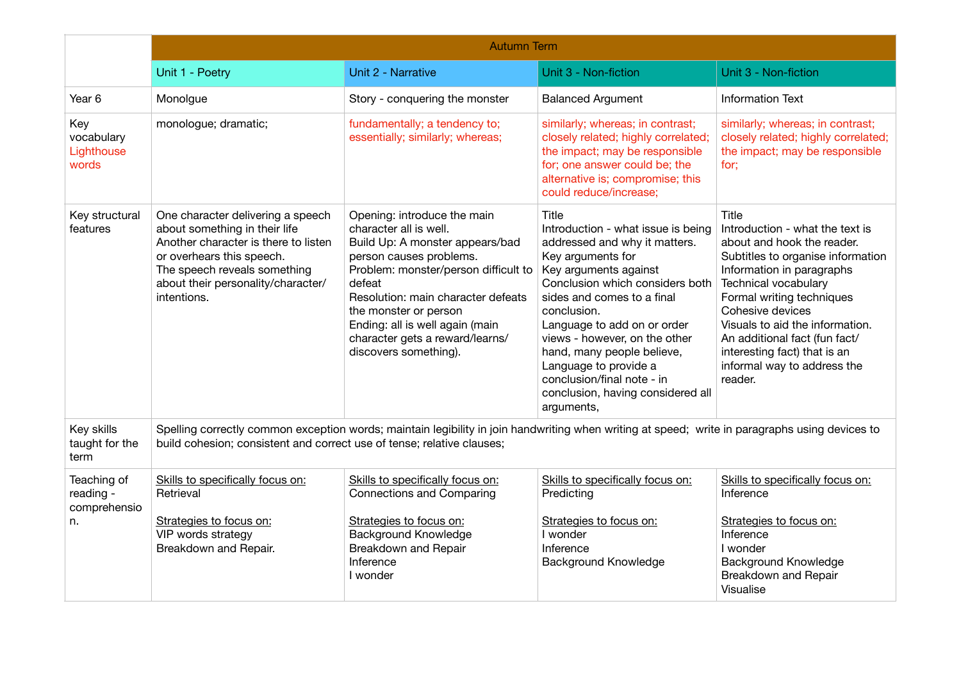|                                                | <b>Autumn Term</b>                                                                                                                                                                                                           |                                                                                                                                                                                                                                                                                                                                     |                                                                                                                                                                                                                                                                                                                                                                                                                    |                                                                                                                                                                                                                                                                                                                                                                 |  |  |
|------------------------------------------------|------------------------------------------------------------------------------------------------------------------------------------------------------------------------------------------------------------------------------|-------------------------------------------------------------------------------------------------------------------------------------------------------------------------------------------------------------------------------------------------------------------------------------------------------------------------------------|--------------------------------------------------------------------------------------------------------------------------------------------------------------------------------------------------------------------------------------------------------------------------------------------------------------------------------------------------------------------------------------------------------------------|-----------------------------------------------------------------------------------------------------------------------------------------------------------------------------------------------------------------------------------------------------------------------------------------------------------------------------------------------------------------|--|--|
|                                                | Unit 1 - Poetry                                                                                                                                                                                                              | Unit 2 - Narrative                                                                                                                                                                                                                                                                                                                  | Unit 3 - Non-fiction                                                                                                                                                                                                                                                                                                                                                                                               | Unit 3 - Non-fiction                                                                                                                                                                                                                                                                                                                                            |  |  |
| Year <sub>6</sub>                              | Monolgue                                                                                                                                                                                                                     | Story - conquering the monster                                                                                                                                                                                                                                                                                                      | <b>Balanced Argument</b>                                                                                                                                                                                                                                                                                                                                                                                           | <b>Information Text</b>                                                                                                                                                                                                                                                                                                                                         |  |  |
| Key<br>vocabulary<br>Lighthouse<br>words       | monologue; dramatic;                                                                                                                                                                                                         | fundamentally; a tendency to;<br>essentially; similarly; whereas;                                                                                                                                                                                                                                                                   | similarly; whereas; in contrast;<br>closely related; highly correlated;<br>the impact; may be responsible<br>for; one answer could be; the<br>alternative is; compromise; this<br>could reduce/increase;                                                                                                                                                                                                           | similarly; whereas; in contrast;<br>closely related; highly correlated;<br>the impact; may be responsible<br>for:                                                                                                                                                                                                                                               |  |  |
| Key structural<br>features                     | One character delivering a speech<br>about something in their life<br>Another character is there to listen<br>or overhears this speech.<br>The speech reveals something<br>about their personality/character/<br>intentions. | Opening: introduce the main<br>character all is well.<br>Build Up: A monster appears/bad<br>person causes problems.<br>Problem: monster/person difficult to<br>defeat<br>Resolution: main character defeats<br>the monster or person<br>Ending: all is well again (main<br>character gets a reward/learns/<br>discovers something). | Title<br>Introduction - what issue is being<br>addressed and why it matters.<br>Key arguments for<br>Key arguments against<br>Conclusion which considers both<br>sides and comes to a final<br>conclusion.<br>Language to add on or order<br>views - however, on the other<br>hand, many people believe,<br>Language to provide a<br>conclusion/final note - in<br>conclusion, having considered all<br>arguments, | Title<br>Introduction - what the text is<br>about and hook the reader.<br>Subtitles to organise information<br>Information in paragraphs<br>Technical vocabulary<br>Formal writing techniques<br>Cohesive devices<br>Visuals to aid the information.<br>An additional fact (fun fact/<br>interesting fact) that is an<br>informal way to address the<br>reader. |  |  |
| Key skills<br>taught for the<br>term           | Spelling correctly common exception words; maintain legibility in join handwriting when writing at speed; write in paragraphs using devices to<br>build cohesion; consistent and correct use of tense; relative clauses;     |                                                                                                                                                                                                                                                                                                                                     |                                                                                                                                                                                                                                                                                                                                                                                                                    |                                                                                                                                                                                                                                                                                                                                                                 |  |  |
| Teaching of<br>reading -<br>comprehensio<br>n. | Skills to specifically focus on:<br>Retrieval                                                                                                                                                                                | Skills to specifically focus on:<br><b>Connections and Comparing</b>                                                                                                                                                                                                                                                                | Skills to specifically focus on:<br>Predicting                                                                                                                                                                                                                                                                                                                                                                     | Skills to specifically focus on:<br>Inference                                                                                                                                                                                                                                                                                                                   |  |  |
|                                                | Strategies to focus on:<br>VIP words strategy<br>Breakdown and Repair.                                                                                                                                                       | Strategies to focus on:<br><b>Background Knowledge</b><br>Breakdown and Repair<br>Inference<br>I wonder                                                                                                                                                                                                                             | Strategies to focus on:<br>I wonder<br>Inference<br>Background Knowledge                                                                                                                                                                                                                                                                                                                                           | Strategies to focus on:<br>Inference<br>I wonder<br>Background Knowledge<br><b>Breakdown and Repair</b><br>Visualise                                                                                                                                                                                                                                            |  |  |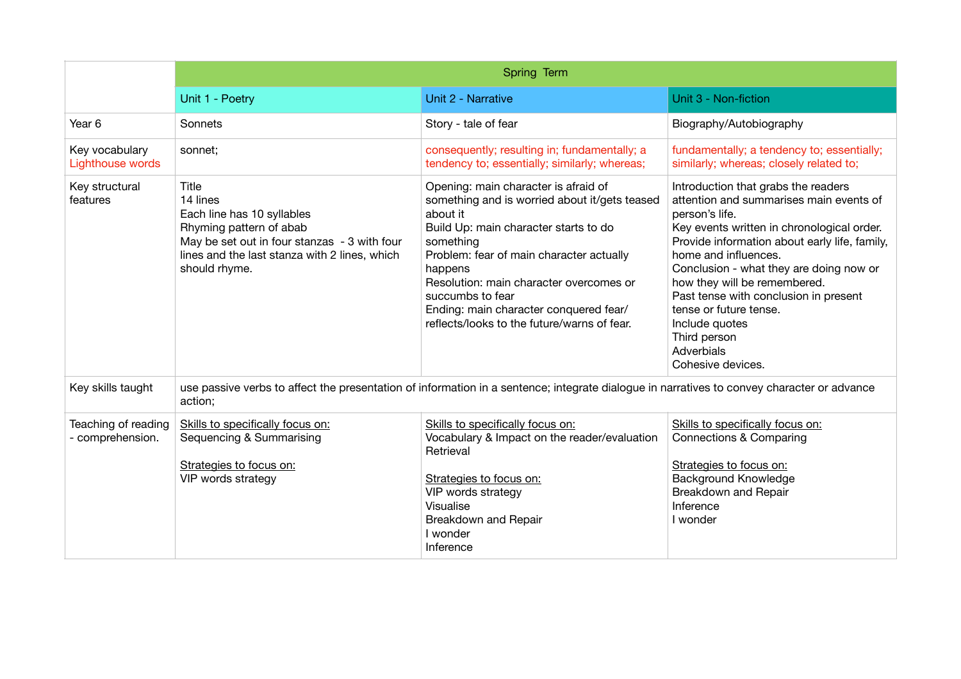|                                         | Spring Term                                                                                                                                                                                  |                                                                                                                                                                                                                                                                                                                                                                        |                                                                                                                                                                                                                                                                                                                                                                                                                                            |  |  |  |
|-----------------------------------------|----------------------------------------------------------------------------------------------------------------------------------------------------------------------------------------------|------------------------------------------------------------------------------------------------------------------------------------------------------------------------------------------------------------------------------------------------------------------------------------------------------------------------------------------------------------------------|--------------------------------------------------------------------------------------------------------------------------------------------------------------------------------------------------------------------------------------------------------------------------------------------------------------------------------------------------------------------------------------------------------------------------------------------|--|--|--|
|                                         | Unit 1 - Poetry                                                                                                                                                                              | Unit 2 - Narrative                                                                                                                                                                                                                                                                                                                                                     | Unit 3 - Non-fiction                                                                                                                                                                                                                                                                                                                                                                                                                       |  |  |  |
| Year 6                                  | Sonnets                                                                                                                                                                                      | Story - tale of fear                                                                                                                                                                                                                                                                                                                                                   | Biography/Autobiography                                                                                                                                                                                                                                                                                                                                                                                                                    |  |  |  |
| Key vocabulary<br>Lighthouse words      | sonnet;                                                                                                                                                                                      | consequently; resulting in; fundamentally; a<br>tendency to; essentially; similarly; whereas;                                                                                                                                                                                                                                                                          | fundamentally; a tendency to; essentially;<br>similarly; whereas; closely related to;                                                                                                                                                                                                                                                                                                                                                      |  |  |  |
| Key structural<br>features              | Title<br>14 lines<br>Each line has 10 syllables<br>Rhyming pattern of abab<br>May be set out in four stanzas - 3 with four<br>lines and the last stanza with 2 lines, which<br>should rhyme. | Opening: main character is afraid of<br>something and is worried about it/gets teased<br>about it<br>Build Up: main character starts to do<br>something<br>Problem: fear of main character actually<br>happens<br>Resolution: main character overcomes or<br>succumbs to fear<br>Ending: main character conquered fear/<br>reflects/looks to the future/warns of fear. | Introduction that grabs the readers<br>attention and summarises main events of<br>person's life.<br>Key events written in chronological order.<br>Provide information about early life, family,<br>home and influences.<br>Conclusion - what they are doing now or<br>how they will be remembered.<br>Past tense with conclusion in present<br>tense or future tense.<br>Include quotes<br>Third person<br>Adverbials<br>Cohesive devices. |  |  |  |
| Key skills taught                       | use passive verbs to affect the presentation of information in a sentence; integrate dialogue in narratives to convey character or advance<br>action;                                        |                                                                                                                                                                                                                                                                                                                                                                        |                                                                                                                                                                                                                                                                                                                                                                                                                                            |  |  |  |
| Teaching of reading<br>- comprehension. | Skills to specifically focus on:<br>Sequencing & Summarising<br>Strategies to focus on:<br>VIP words strategy                                                                                | Skills to specifically focus on:<br>Vocabulary & Impact on the reader/evaluation<br>Retrieval<br>Strategies to focus on:<br>VIP words strategy<br>Visualise<br>Breakdown and Repair<br>I wonder<br>Inference                                                                                                                                                           | Skills to specifically focus on:<br><b>Connections &amp; Comparing</b><br>Strategies to focus on:<br><b>Background Knowledge</b><br>Breakdown and Repair<br>Inference<br>I wonder                                                                                                                                                                                                                                                          |  |  |  |